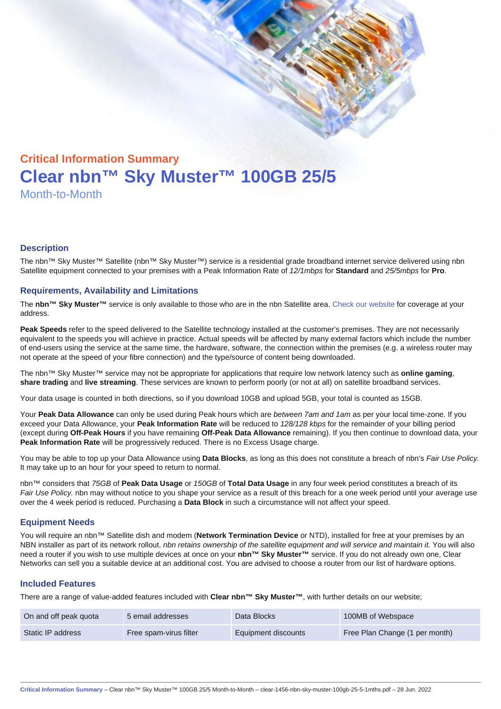# Critical Information Summary Clear nbn™ Sky Muster™ 100GB 25/5 Month-to-Month

#### **Description**

The nbn™ Sky Muster™ Satellite (nbn™ Sky Muster™) service is a residential grade broadband internet service delivered using nbn Satellite equipment connected to your premises with a Peak Information Rate of 12/1mbps for Standard and 25/5mbps for Pro.

#### Requirements, Availability and Limitations

The nbn™ Sky Muster™ service is only available to those who are in the nbn Satellite area. [Check our website](https://www.clear.com.au/residential/nbn-sky-muster/availability-coverage/) for coverage at your address.

Peak Speeds refer to the speed delivered to the Satellite technology installed at the customer's premises. They are not necessarily equivalent to the speeds you will achieve in practice. Actual speeds will be affected by many external factors which include the number of end-users using the service at the same time, the hardware, software, the connection within the premises (e.g. a wireless router may not operate at the speed of your fibre connection) and the type/source of content being downloaded.

The nbn™ Sky Muster™ service may not be appropriate for applications that require low network latency such as online gaming , share trading and live streaming . These services are known to perform poorly (or not at all) on satellite broadband services.

Your data usage is counted in both directions, so if you download 10GB and upload 5GB, your total is counted as 15GB.

Your Peak Data Allowance can only be used during Peak hours which are between 7am and 1am as per your local time-zone. If you exceed your Data Allowance, your Peak Information Rate will be reduced to 128/128 kbps for the remainder of your billing period (except during Off-Peak Hours if you have remaining Off-Peak Data Allowance remaining). If you then continue to download data, your Peak Information Rate will be progressively reduced. There is no Excess Usage charge.

You may be able to top up your Data Allowance using Data Blocks , as long as this does not constitute a breach of nbn's Fair Use Policy. It may take up to an hour for your speed to return to normal.

nbn™ considers that 75GB of Peak Data Usage or 150GB of Total Data Usage in any four week period constitutes a breach of its Fair Use Policy. nbn may without notice to you shape your service as a result of this breach for a one week period until your average use over the 4 week period is reduced. Purchasing a Data Block in such a circumstance will not affect your speed.

#### Equipment Needs

You will require an nbn™ Satellite dish and modem (Network Termination Device or NTD), installed for free at your premises by an NBN installer as part of its network rollout. nbn retains ownership of the satellite equipment and will service and maintain it. You will also need a router if you wish to use multiple devices at once on your nbn™ Sky Muster™ service. If you do not already own one, Clear Networks can sell you a suitable device at an additional cost. You are advised to choose a router from our list of hardware options.

#### Included Features

There are a range of value-added features included with Clear nbn™ Sky Muster™ , with further details on our website;

| On and off peak quota | 5 email addresses      | Data Blocks         | 100MB of Webspace              |
|-----------------------|------------------------|---------------------|--------------------------------|
| Static IP address     | Free spam-virus filter | Equipment discounts | Free Plan Change (1 per month) |